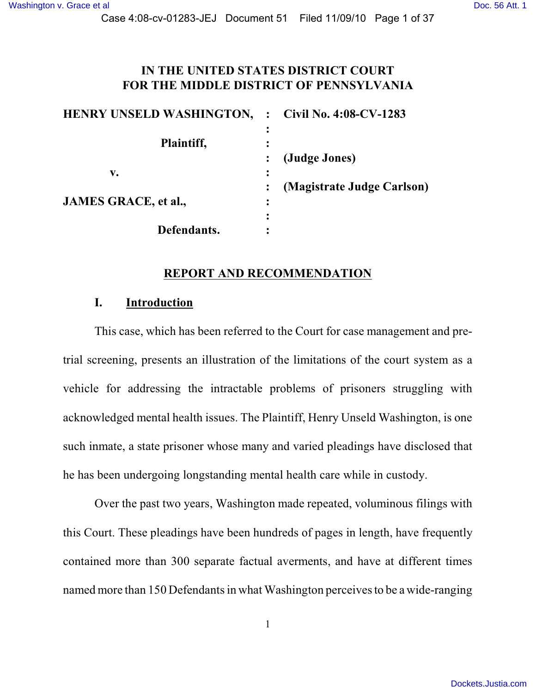Case 4:08-cv-01283-JEJ Document 51 Filed 11/09/10 Page 1 of 37

#### **IN THE UNITED STATES DISTRICT COURT FOR THE MIDDLE DISTRICT OF PENNSYLVANIA**

| <b>HENRY UNSELD WASHINGTON, : Civil No. 4:08-CV-1283</b> |                            |
|----------------------------------------------------------|----------------------------|
|                                                          |                            |
| Plaintiff,                                               |                            |
|                                                          | (Judge Jones)              |
| v.                                                       |                            |
|                                                          | (Magistrate Judge Carlson) |
| <b>JAMES GRACE, et al.,</b>                              |                            |
|                                                          |                            |
| Defendants.                                              |                            |

#### **REPORT AND RECOMMENDATION**

#### **I. Introduction**

This case, which has been referred to the Court for case management and pretrial screening, presents an illustration of the limitations of the court system as a vehicle for addressing the intractable problems of prisoners struggling with acknowledged mental health issues. The Plaintiff, Henry Unseld Washington, is one such inmate, a state prisoner whose many and varied pleadings have disclosed that he has been undergoing longstanding mental health care while in custody.

Over the past two years, Washington made repeated, voluminous filings with this Court. These pleadings have been hundreds of pages in length, have frequently contained more than 300 separate factual averments, and have at different times named more than 150 Defendants in what Washington perceives to be a wide-ranging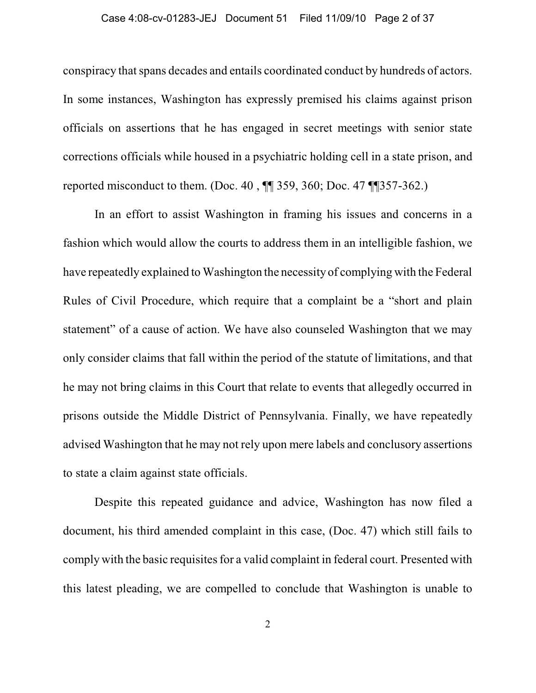#### Case 4:08-cv-01283-JEJ Document 51 Filed 11/09/10 Page 2 of 37

conspiracy that spans decades and entails coordinated conduct by hundreds of actors. In some instances, Washington has expressly premised his claims against prison officials on assertions that he has engaged in secret meetings with senior state corrections officials while housed in a psychiatric holding cell in a state prison, and reported misconduct to them. (Doc. 40 , ¶¶ 359, 360; Doc. 47 ¶¶357-362.)

In an effort to assist Washington in framing his issues and concerns in a fashion which would allow the courts to address them in an intelligible fashion, we have repeatedly explained to Washington the necessity of complying with the Federal Rules of Civil Procedure, which require that a complaint be a "short and plain statement" of a cause of action. We have also counseled Washington that we may only consider claims that fall within the period of the statute of limitations, and that he may not bring claims in this Court that relate to events that allegedly occurred in prisons outside the Middle District of Pennsylvania. Finally, we have repeatedly advised Washington that he may not rely upon mere labels and conclusory assertions to state a claim against state officials.

Despite this repeated guidance and advice, Washington has now filed a document, his third amended complaint in this case, (Doc. 47) which still fails to comply with the basic requisites for a valid complaint in federal court. Presented with this latest pleading, we are compelled to conclude that Washington is unable to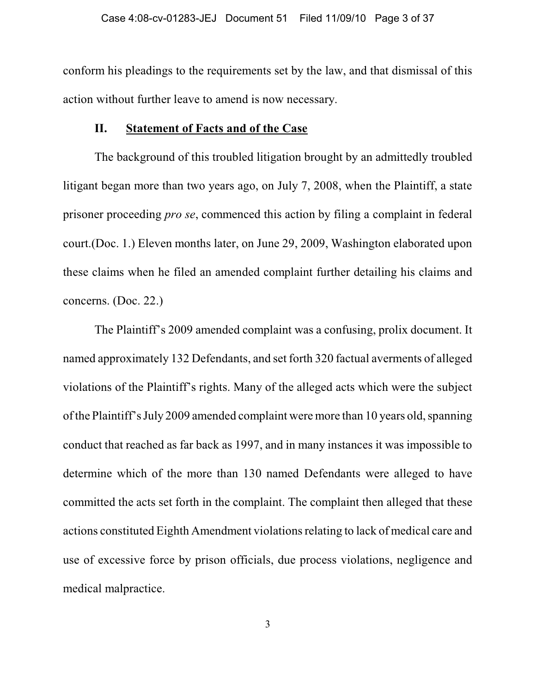conform his pleadings to the requirements set by the law, and that dismissal of this action without further leave to amend is now necessary.

### **II. Statement of Facts and of the Case**

The background of this troubled litigation brought by an admittedly troubled litigant began more than two years ago, on July 7, 2008, when the Plaintiff, a state prisoner proceeding *pro se*, commenced this action by filing a complaint in federal court.(Doc. 1.) Eleven months later, on June 29, 2009, Washington elaborated upon these claims when he filed an amended complaint further detailing his claims and concerns. (Doc. 22.)

The Plaintiff's 2009 amended complaint was a confusing, prolix document. It named approximately 132 Defendants, and set forth 320 factual averments of alleged violations of the Plaintiff's rights. Many of the alleged acts which were the subject of the Plaintiff's July 2009 amended complaint were more than 10 years old, spanning conduct that reached as far back as 1997, and in many instances it was impossible to determine which of the more than 130 named Defendants were alleged to have committed the acts set forth in the complaint. The complaint then alleged that these actions constituted Eighth Amendment violations relating to lack of medical care and use of excessive force by prison officials, due process violations, negligence and medical malpractice.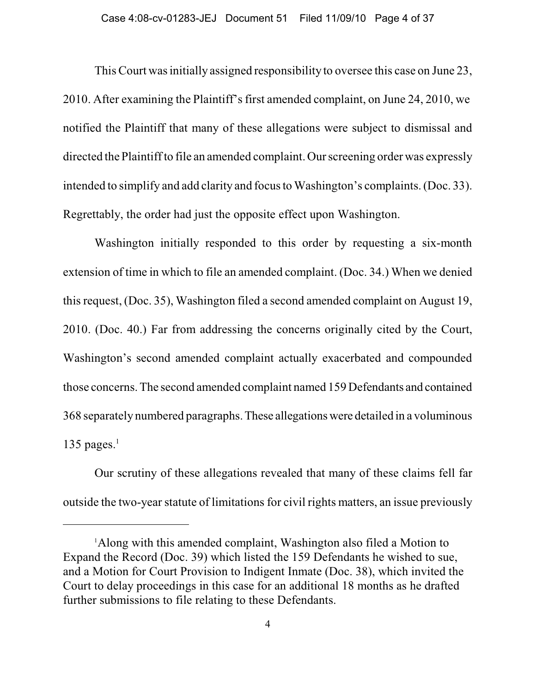This Court was initially assigned responsibility to oversee this case on June 23, 2010. After examining the Plaintiff's first amended complaint, on June 24, 2010, we notified the Plaintiff that many of these allegations were subject to dismissal and directed the Plaintiff to file an amended complaint. Our screening order was expressly intended to simplify and add clarity and focus to Washington's complaints. (Doc. 33). Regrettably, the order had just the opposite effect upon Washington.

Washington initially responded to this order by requesting a six-month extension of time in which to file an amended complaint. (Doc. 34.) When we denied this request, (Doc. 35), Washington filed a second amended complaint on August 19, 2010. (Doc. 40.) Far from addressing the concerns originally cited by the Court, Washington's second amended complaint actually exacerbated and compounded those concerns. The second amended complaint named 159 Defendants and contained 368 separately numbered paragraphs. These allegations were detailed in a voluminous 135 pages. $<sup>1</sup>$ </sup>

Our scrutiny of these allegations revealed that many of these claims fell far outside the two-year statute of limitations for civil rights matters, an issue previously

<sup>&</sup>lt;sup>1</sup>Along with this amended complaint, Washington also filed a Motion to Expand the Record (Doc. 39) which listed the 159 Defendants he wished to sue, and a Motion for Court Provision to Indigent Inmate (Doc. 38), which invited the Court to delay proceedings in this case for an additional 18 months as he drafted further submissions to file relating to these Defendants.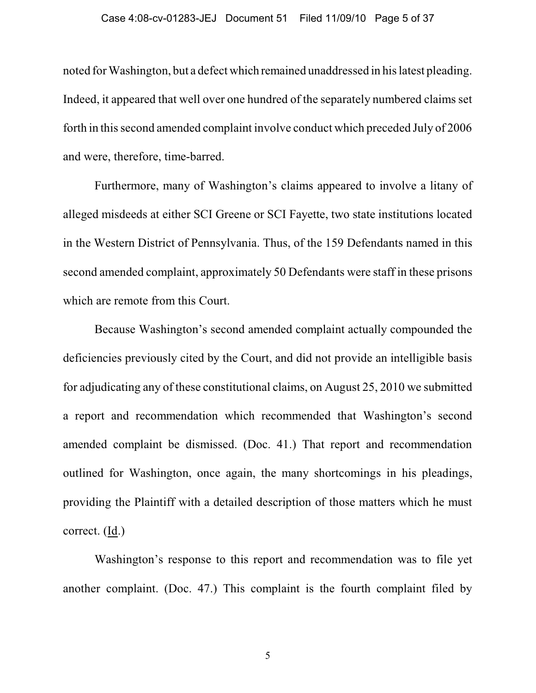#### Case 4:08-cv-01283-JEJ Document 51 Filed 11/09/10 Page 5 of 37

noted for Washington, but a defect which remained unaddressed in his latest pleading. Indeed, it appeared that well over one hundred of the separately numbered claims set forth in this second amended complaint involve conduct which preceded July of 2006 and were, therefore, time-barred.

Furthermore, many of Washington's claims appeared to involve a litany of alleged misdeeds at either SCI Greene or SCI Fayette, two state institutions located in the Western District of Pennsylvania. Thus, of the 159 Defendants named in this second amended complaint, approximately 50 Defendants were staff in these prisons which are remote from this Court.

Because Washington's second amended complaint actually compounded the deficiencies previously cited by the Court, and did not provide an intelligible basis for adjudicating any of these constitutional claims, on August 25, 2010 we submitted a report and recommendation which recommended that Washington's second amended complaint be dismissed. (Doc. 41.) That report and recommendation outlined for Washington, once again, the many shortcomings in his pleadings, providing the Plaintiff with a detailed description of those matters which he must correct. (Id.)

Washington's response to this report and recommendation was to file yet another complaint. (Doc. 47.) This complaint is the fourth complaint filed by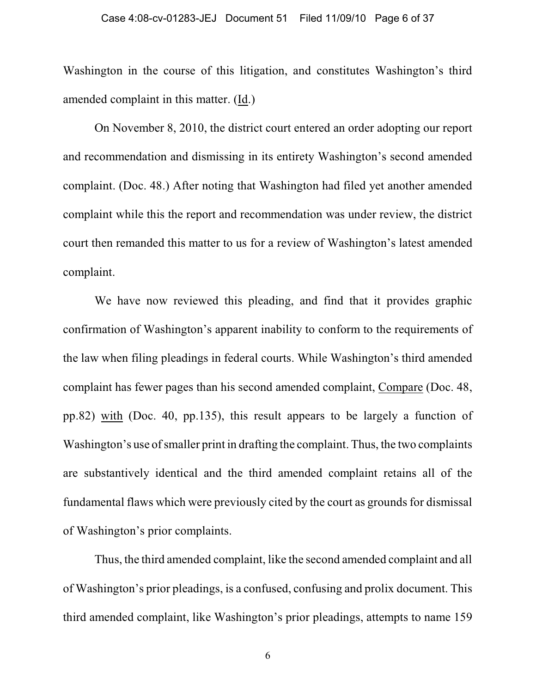Washington in the course of this litigation, and constitutes Washington's third amended complaint in this matter. (Id.)

On November 8, 2010, the district court entered an order adopting our report and recommendation and dismissing in its entirety Washington's second amended complaint. (Doc. 48.) After noting that Washington had filed yet another amended complaint while this the report and recommendation was under review, the district court then remanded this matter to us for a review of Washington's latest amended complaint.

We have now reviewed this pleading, and find that it provides graphic confirmation of Washington's apparent inability to conform to the requirements of the law when filing pleadings in federal courts. While Washington's third amended complaint has fewer pages than his second amended complaint, Compare (Doc. 48, pp.82) with (Doc. 40, pp.135), this result appears to be largely a function of Washington's use of smaller print in drafting the complaint. Thus, the two complaints are substantively identical and the third amended complaint retains all of the fundamental flaws which were previously cited by the court as grounds for dismissal of Washington's prior complaints.

Thus, the third amended complaint, like the second amended complaint and all of Washington's prior pleadings, is a confused, confusing and prolix document. This third amended complaint, like Washington's prior pleadings, attempts to name 159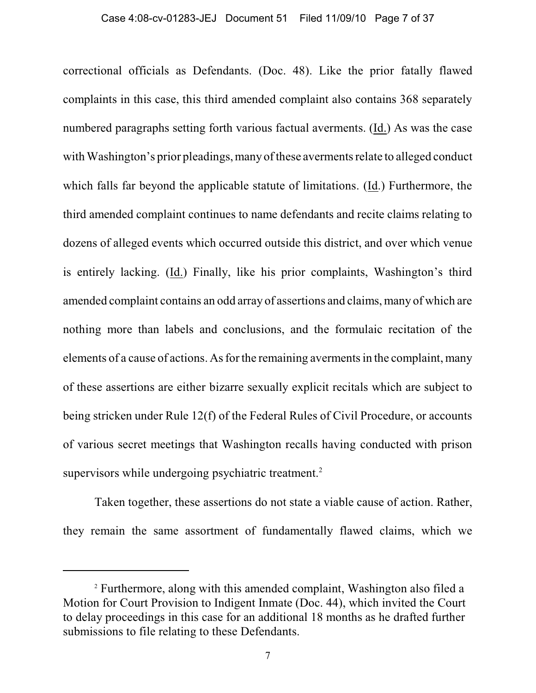#### Case 4:08-cv-01283-JEJ Document 51 Filed 11/09/10 Page 7 of 37

correctional officials as Defendants. (Doc. 48). Like the prior fatally flawed complaints in this case, this third amended complaint also contains 368 separately numbered paragraphs setting forth various factual averments. (Id.) As was the case with Washington's prior pleadings, many of these averments relate to alleged conduct which falls far beyond the applicable statute of limitations. (Id.) Furthermore, the third amended complaint continues to name defendants and recite claims relating to dozens of alleged events which occurred outside this district, and over which venue is entirely lacking. (Id.) Finally, like his prior complaints, Washington's third amended complaint contains an odd array of assertions and claims, many of which are nothing more than labels and conclusions, and the formulaic recitation of the elements of a cause of actions. As for the remaining averments in the complaint, many of these assertions are either bizarre sexually explicit recitals which are subject to being stricken under Rule 12(f) of the Federal Rules of Civil Procedure, or accounts of various secret meetings that Washington recalls having conducted with prison supervisors while undergoing psychiatric treatment.<sup>2</sup>

Taken together, these assertions do not state a viable cause of action. Rather, they remain the same assortment of fundamentally flawed claims, which we

<sup>&</sup>lt;sup>2</sup> Furthermore, along with this amended complaint, Washington also filed a Motion for Court Provision to Indigent Inmate (Doc. 44), which invited the Court to delay proceedings in this case for an additional 18 months as he drafted further submissions to file relating to these Defendants.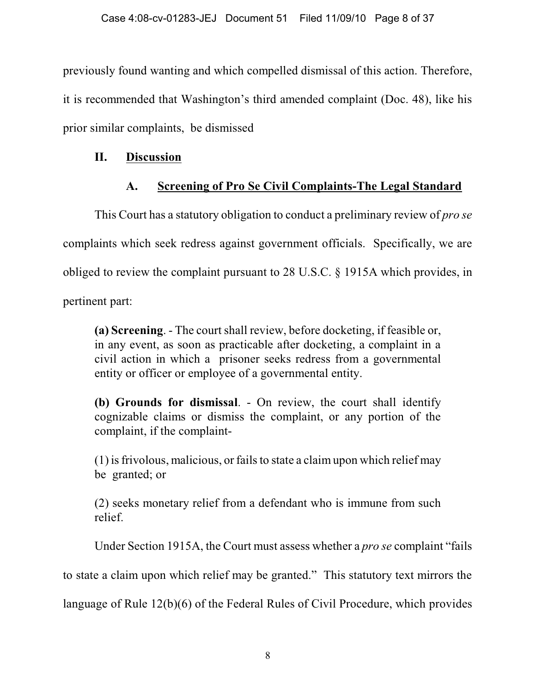previously found wanting and which compelled dismissal of this action. Therefore, it is recommended that Washington's third amended complaint (Doc. 48), like his prior similar complaints, be dismissed

## **II. Discussion**

# **A. Screening of Pro Se Civil Complaints-The Legal Standard**

This Court has a statutory obligation to conduct a preliminary review of *pro se* complaints which seek redress against government officials. Specifically, we are obliged to review the complaint pursuant to 28 U.S.C. § 1915A which provides, in

pertinent part:

**(a) Screening**. - The court shall review, before docketing, if feasible or, in any event, as soon as practicable after docketing, a complaint in a civil action in which a prisoner seeks redress from a governmental entity or officer or employee of a governmental entity.

**(b) Grounds for dismissal**. - On review, the court shall identify cognizable claims or dismiss the complaint, or any portion of the complaint, if the complaint-

(1) is frivolous, malicious, or fails to state a claim upon which relief may be granted; or

(2) seeks monetary relief from a defendant who is immune from such relief.

Under Section 1915A, the Court must assess whether a *pro se* complaint "fails

to state a claim upon which relief may be granted." This statutory text mirrors the

language of Rule 12(b)(6) of the Federal Rules of Civil Procedure, which provides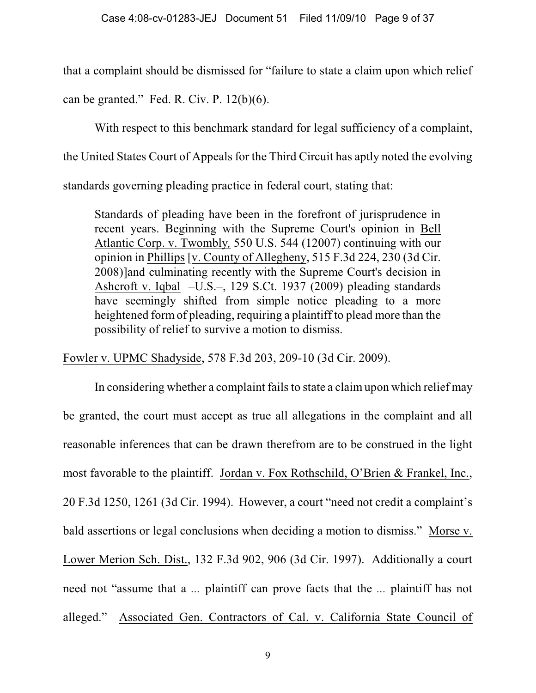that a complaint should be dismissed for "failure to state a claim upon which relief

can be granted." Fed. R. Civ. P.  $12(b)(6)$ .

With respect to this benchmark standard for legal sufficiency of a complaint,

the United States Court of Appeals for the Third Circuit has aptly noted the evolving

standards governing pleading practice in federal court, stating that:

Standards of pleading have been in the forefront of jurisprudence in recent years. Beginning with the Supreme Court's opinion in Bell Atlantic Corp. v. Twombly*,* 550 U.S. 544 (12007) continuing with our opinion in Phillips [v. County of Allegheny, 515 F.3d 224, 230 (3d Cir. 2008)]and culminating recently with the Supreme Court's decision in Ashcroft v. Iqbal –U.S.–, 129 S.Ct. 1937 (2009) pleading standards have seemingly shifted from simple notice pleading to a more heightened form of pleading, requiring a plaintiff to plead more than the possibility of relief to survive a motion to dismiss.

Fowler v. UPMC Shadyside, 578 F.3d 203, 209-10 (3d Cir. 2009).

In considering whether a complaint fails to state a claim upon which relief may be granted, the court must accept as true all allegations in the complaint and all reasonable inferences that can be drawn therefrom are to be construed in the light most favorable to the plaintiff. Jordan v. Fox Rothschild, O'Brien & Frankel, Inc., 20 F.3d 1250, 1261 (3d Cir. 1994). However, a court "need not credit a complaint's bald assertions or legal conclusions when deciding a motion to dismiss." Morse v. Lower Merion Sch. Dist., 132 F.3d 902, 906 (3d Cir. 1997). Additionally a court need not "assume that a *...* plaintiff can prove facts that the *...* plaintiff has not alleged." Associated Gen. Contractors of Cal. v. California State Council of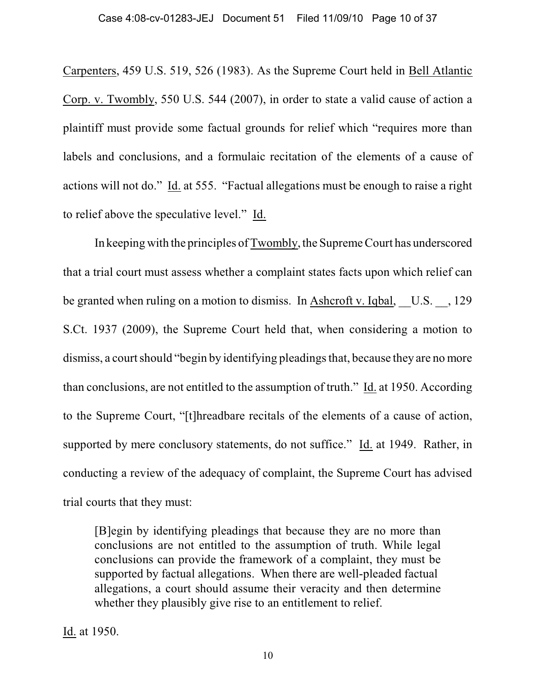Carpenters, 459 U.S. 519, 526 (1983). As the Supreme Court held in Bell Atlantic Corp. v. Twombly, 550 U.S. 544 (2007), in order to state a valid cause of action a plaintiff must provide some factual grounds for relief which "requires more than labels and conclusions, and a formulaic recitation of the elements of a cause of actions will not do." Id. at 555. "Factual allegations must be enough to raise a right to relief above the speculative level." Id.

In keeping with the principles of Twombly, the Supreme Court has underscored that a trial court must assess whether a complaint states facts upon which relief can be granted when ruling on a motion to dismiss. In Ashcroft v. Iqbal, U.S. , 129 S.Ct. 1937 (2009), the Supreme Court held that, when considering a motion to dismiss, a court should "begin by identifying pleadings that, because they are no more than conclusions, are not entitled to the assumption of truth." Id. at 1950. According to the Supreme Court, "[t]hreadbare recitals of the elements of a cause of action, supported by mere conclusory statements, do not suffice." Id. at 1949. Rather, in conducting a review of the adequacy of complaint, the Supreme Court has advised trial courts that they must:

[B]egin by identifying pleadings that because they are no more than conclusions are not entitled to the assumption of truth. While legal conclusions can provide the framework of a complaint, they must be supported by factual allegations. When there are well-pleaded factual allegations, a court should assume their veracity and then determine whether they plausibly give rise to an entitlement to relief.

Id. at 1950.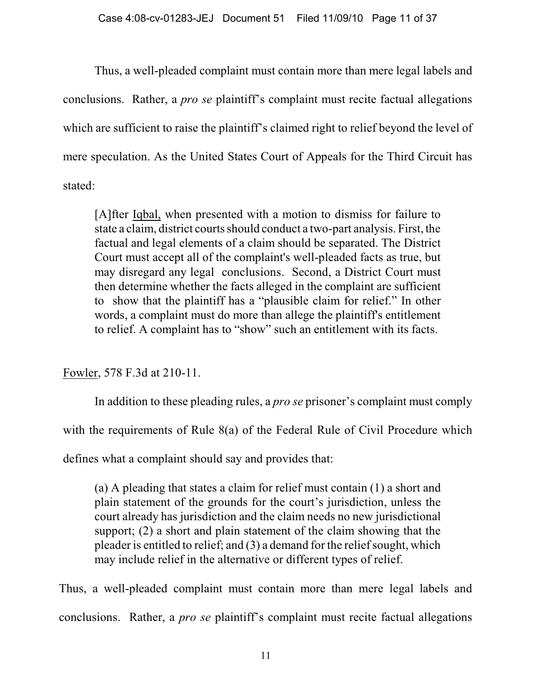Thus, a well-pleaded complaint must contain more than mere legal labels and conclusions. Rather, a *pro se* plaintiff's complaint must recite factual allegations which are sufficient to raise the plaintiff's claimed right to relief beyond the level of mere speculation. As the United States Court of Appeals for the Third Circuit has stated:

[A]fter Iqbal, when presented with a motion to dismiss for failure to state a claim, district courts should conduct a two-part analysis. First, the factual and legal elements of a claim should be separated. The District Court must accept all of the complaint's well-pleaded facts as true, but may disregard any legal conclusions. Second, a District Court must then determine whether the facts alleged in the complaint are sufficient to show that the plaintiff has a "plausible claim for relief." In other words, a complaint must do more than allege the plaintiff's entitlement to relief. A complaint has to "show" such an entitlement with its facts.

Fowler, 578 F.3d at 210-11.

In addition to these pleading rules, a *pro se* prisoner's complaint must comply with the requirements of Rule 8(a) of the Federal Rule of Civil Procedure which

defines what a complaint should say and provides that:

(a) A pleading that states a claim for relief must contain (1) a short and plain statement of the grounds for the court's jurisdiction, unless the court already has jurisdiction and the claim needs no new jurisdictional support; (2) a short and plain statement of the claim showing that the pleader is entitled to relief; and (3) a demand for the relief sought, which may include relief in the alternative or different types of relief.

Thus, a well-pleaded complaint must contain more than mere legal labels and conclusions. Rather, a *pro se* plaintiff's complaint must recite factual allegations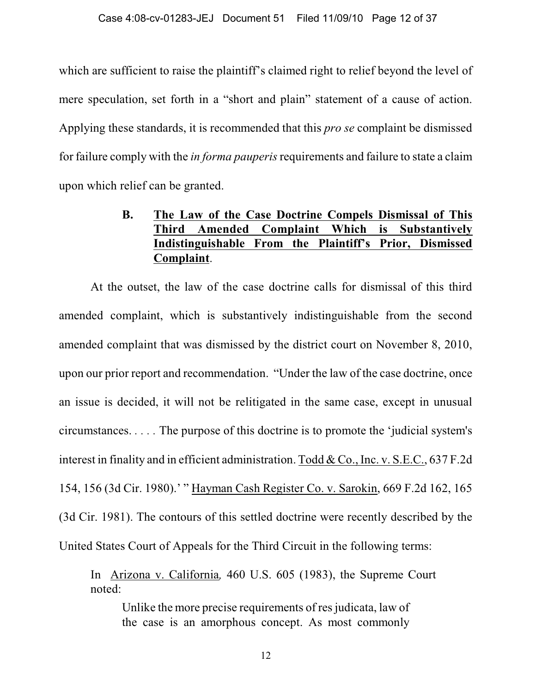which are sufficient to raise the plaintiff's claimed right to relief beyond the level of mere speculation, set forth in a "short and plain" statement of a cause of action. Applying these standards, it is recommended that this *pro se* complaint be dismissed for failure comply with the *in forma pauperis* requirements and failure to state a claim upon which relief can be granted.

# **B. The Law of the Case Doctrine Compels Dismissal of This Third Amended Complaint Which is Substantively Indistinguishable From the Plaintiff's Prior, Dismissed Complaint**.

At the outset, the law of the case doctrine calls for dismissal of this third amended complaint, which is substantively indistinguishable from the second amended complaint that was dismissed by the district court on November 8, 2010, upon our prior report and recommendation. "Under the law of the case doctrine, once an issue is decided, it will not be relitigated in the same case, except in unusual circumstances. *. . . .* The purpose of this doctrine is to promote the 'judicial system's interest in finality and in efficient administration. Todd & Co., Inc. v. S.E.C., 637 F.2d 154, 156 (3d Cir. 1980).' " Hayman Cash Register Co. v. Sarokin, 669 F.2d 162, 165 (3d Cir. 1981). The contours of this settled doctrine were recently described by the United States Court of Appeals for the Third Circuit in the following terms:

In Arizona v. California*,* 460 U.S. 605 (1983), the Supreme Court noted:

Unlike the more precise requirements of res judicata, law of the case is an amorphous concept. As most commonly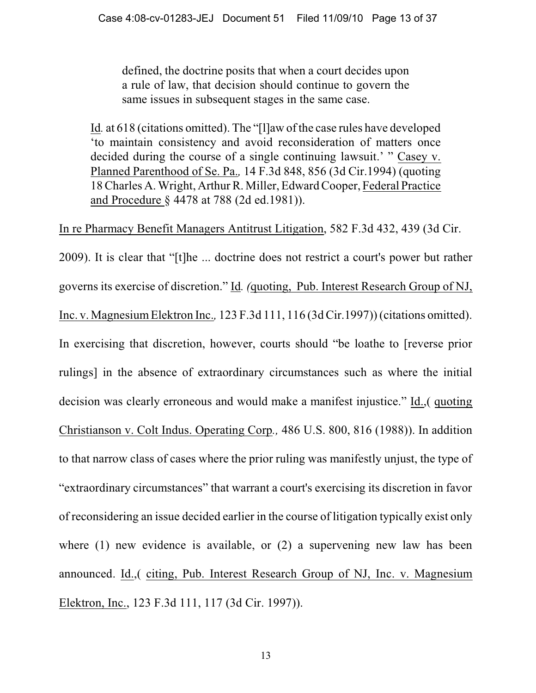defined, the doctrine posits that when a court decides upon a rule of law, that decision should continue to govern the same issues in subsequent stages in the same case.

Id*.* at 618 (citations omitted). The "[l]aw of the case rules have developed 'to maintain consistency and avoid reconsideration of matters once decided during the course of a single continuing lawsuit.' " Casey v. Planned Parenthood of Se. Pa.*,* 14 F.3d 848, 856 (3d Cir.1994) (quoting 18 Charles A. Wright, Arthur R. Miller, Edward Cooper, Federal Practice and Procedure § 4478 at 788 (2d ed.1981)).

In re Pharmacy Benefit Managers Antitrust Litigation, 582 F.3d 432, 439 (3d Cir.

2009). It is clear that "[t]he ... doctrine does not restrict a court's power but rather governs its exercise of discretion." Id*. (*quoting, Pub. Interest Research Group of NJ, Inc. v. Magnesium Elektron Inc.*,* 123 F.3d 111, 116 (3d Cir.1997)) (citations omitted). In exercising that discretion, however, courts should "be loathe to [reverse prior rulings] in the absence of extraordinary circumstances such as where the initial decision was clearly erroneous and would make a manifest injustice." Id.,( quoting Christianson v. Colt Indus. Operating Corp*.,* 486 U.S. 800, 816 (1988)). In addition to that narrow class of cases where the prior ruling was manifestly unjust, the type of "extraordinary circumstances" that warrant a court's exercising its discretion in favor of reconsidering an issue decided earlier in the course of litigation typically exist only where (1) new evidence is available, or (2) a supervening new law has been announced. Id.,( citing, Pub. Interest Research Group of NJ, Inc. v. Magnesium Elektron, Inc., 123 F.3d 111, 117 (3d Cir. 1997)).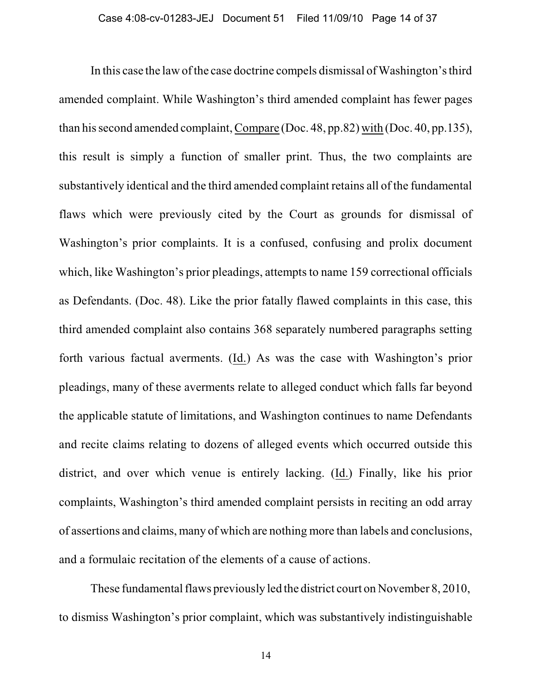In this case the law of the case doctrine compels dismissal of Washington's third amended complaint. While Washington's third amended complaint has fewer pages than his second amended complaint, Compare (Doc. 48, pp.82) with (Doc. 40, pp.135), this result is simply a function of smaller print. Thus, the two complaints are substantively identical and the third amended complaint retains all of the fundamental flaws which were previously cited by the Court as grounds for dismissal of Washington's prior complaints. It is a confused, confusing and prolix document which, like Washington's prior pleadings, attempts to name 159 correctional officials as Defendants. (Doc. 48). Like the prior fatally flawed complaints in this case, this third amended complaint also contains 368 separately numbered paragraphs setting forth various factual averments. (Id.) As was the case with Washington's prior pleadings, many of these averments relate to alleged conduct which falls far beyond the applicable statute of limitations, and Washington continues to name Defendants and recite claims relating to dozens of alleged events which occurred outside this district, and over which venue is entirely lacking. (Id.) Finally, like his prior complaints, Washington's third amended complaint persists in reciting an odd array of assertions and claims, many of which are nothing more than labels and conclusions, and a formulaic recitation of the elements of a cause of actions.

These fundamental flaws previously led the district court on November 8, 2010, to dismiss Washington's prior complaint, which was substantively indistinguishable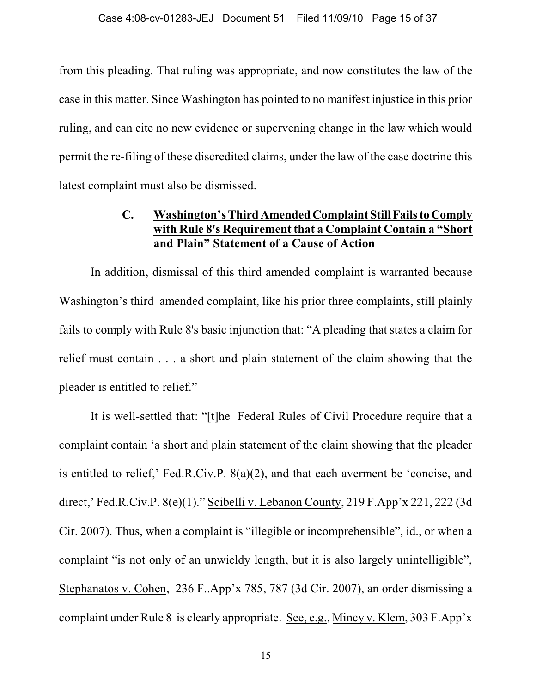from this pleading. That ruling was appropriate, and now constitutes the law of the case in this matter. Since Washington has pointed to no manifest injustice in this prior ruling, and can cite no new evidence or supervening change in the law which would permit the re-filing of these discredited claims, under the law of the case doctrine this latest complaint must also be dismissed.

## **C. Washington's Third Amended Complaint Still Fails to Comply with Rule 8's Requirement that a Complaint Contain a "Short and Plain" Statement of a Cause of Action**

In addition, dismissal of this third amended complaint is warranted because Washington's third amended complaint, like his prior three complaints, still plainly fails to comply with Rule 8's basic injunction that: "A pleading that states a claim for relief must contain . . . a short and plain statement of the claim showing that the pleader is entitled to relief."

It is well-settled that: "[t]he Federal Rules of Civil Procedure require that a complaint contain 'a short and plain statement of the claim showing that the pleader is entitled to relief,' Fed.R.Civ.P. 8(a)(2), and that each averment be 'concise, and direct,' Fed.R.Civ.P. 8(e)(1)." Scibelli v. Lebanon County, 219 F.App'x 221, 222 (3d Cir. 2007). Thus, when a complaint is "illegible or incomprehensible", id., or when a complaint "is not only of an unwieldy length, but it is also largely unintelligible", Stephanatos v. Cohen, 236 F..App'x 785, 787 (3d Cir. 2007), an order dismissing a complaint under Rule 8 is clearly appropriate. See, e.g., Mincy v. Klem, 303 F.App'x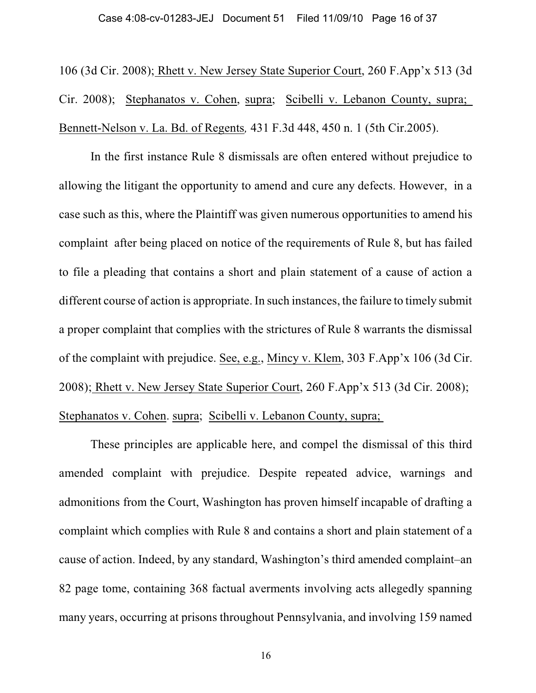106 (3d Cir. 2008); Rhett v. New Jersey State Superior Court, 260 F.App'x 513 (3d Cir. 2008); Stephanatos v. Cohen, supra; Scibelli v. Lebanon County, supra; Bennett-Nelson v. La. Bd. of Regents*,* 431 F.3d 448, 450 n. 1 (5th Cir.2005).

In the first instance Rule 8 dismissals are often entered without prejudice to allowing the litigant the opportunity to amend and cure any defects. However, in a case such as this, where the Plaintiff was given numerous opportunities to amend his complaint after being placed on notice of the requirements of Rule 8, but has failed to file a pleading that contains a short and plain statement of a cause of action a different course of action is appropriate. In such instances, the failure to timely submit a proper complaint that complies with the strictures of Rule 8 warrants the dismissal of the complaint with prejudice. See, e.g., Mincy v. Klem, 303 F.App'x 106 (3d Cir. 2008); Rhett v. New Jersey State Superior Court, 260 F.App'x 513 (3d Cir. 2008); Stephanatos v. Cohen. supra; Scibelli v. Lebanon County, supra;

These principles are applicable here, and compel the dismissal of this third amended complaint with prejudice. Despite repeated advice, warnings and admonitions from the Court, Washington has proven himself incapable of drafting a complaint which complies with Rule 8 and contains a short and plain statement of a cause of action. Indeed, by any standard, Washington's third amended complaint–an 82 page tome, containing 368 factual averments involving acts allegedly spanning many years, occurring at prisons throughout Pennsylvania, and involving 159 named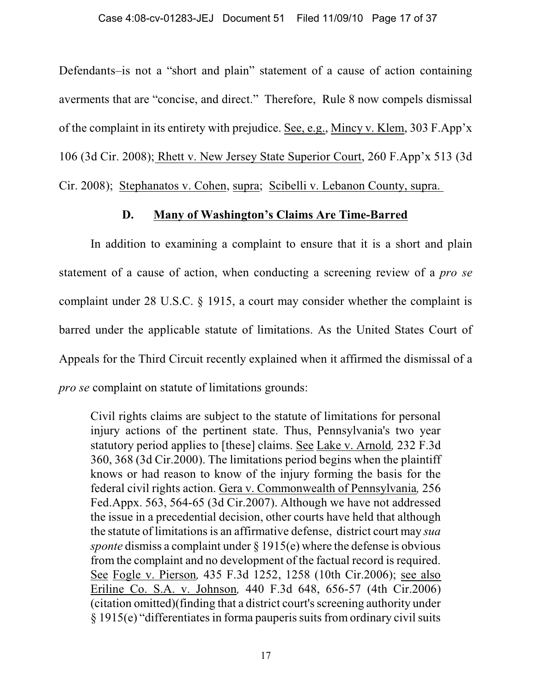Defendants–is not a "short and plain" statement of a cause of action containing averments that are "concise, and direct." Therefore, Rule 8 now compels dismissal of the complaint in its entirety with prejudice. See, e.g., Mincy v. Klem, 303 F.App'x 106 (3d Cir. 2008); Rhett v. New Jersey State Superior Court, 260 F.App'x 513 (3d Cir. 2008); Stephanatos v. Cohen, supra; Scibelli v. Lebanon County, supra.

## **D. Many of Washington's Claims Are Time-Barred**

In addition to examining a complaint to ensure that it is a short and plain statement of a cause of action, when conducting a screening review of a *pro se* complaint under 28 U.S.C. § 1915, a court may consider whether the complaint is barred under the applicable statute of limitations. As the United States Court of Appeals for the Third Circuit recently explained when it affirmed the dismissal of a *pro se* complaint on statute of limitations grounds:

Civil rights claims are subject to the statute of limitations for personal injury actions of the pertinent state. Thus, Pennsylvania's two year statutory period applies to [these] claims. See Lake v. Arnold*,* 232 F.3d 360, 368 (3d Cir.2000). The limitations period begins when the plaintiff knows or had reason to know of the injury forming the basis for the federal civil rights action. Gera v. Commonwealth of Pennsylvania*,* 256 Fed.Appx. 563, 564-65 (3d Cir.2007). Although we have not addressed the issue in a precedential decision, other courts have held that although the statute of limitations is an affirmative defense, district court may *sua sponte* dismiss a complaint under § 1915(e) where the defense is obvious from the complaint and no development of the factual record is required. See Fogle v. Pierson*,* 435 F.3d 1252, 1258 (10th Cir.2006); see also Eriline Co. S.A. v. Johnson*,* 440 F.3d 648, 656-57 (4th Cir.2006) (citation omitted)(finding that a district court's screening authority under § 1915(e) "differentiates in forma pauperis suits from ordinary civil suits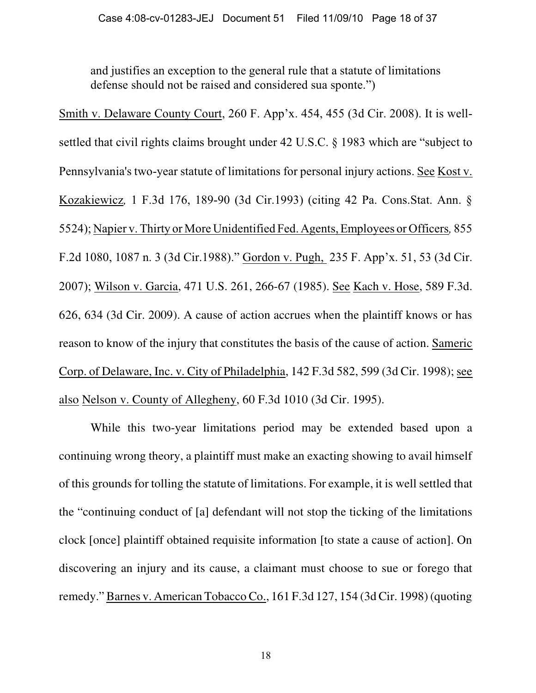and justifies an exception to the general rule that a statute of limitations defense should not be raised and considered sua sponte.")

Smith v. Delaware County Court, 260 F. App'x. 454, 455 (3d Cir. 2008). It is wellsettled that civil rights claims brought under 42 U.S.C. § 1983 which are "subject to Pennsylvania's two-year statute of limitations for personal injury actions. See Kost v. Kozakiewicz*,* 1 F.3d 176, 189-90 (3d Cir.1993) (citing 42 Pa. Cons.Stat. Ann. § 5524); Napier v. Thirty or More Unidentified Fed. Agents, Employees or Officers*,* 855 F.2d 1080, 1087 n. 3 (3d Cir.1988)." Gordon v. Pugh, 235 F. App'x. 51, 53 (3d Cir. 2007); Wilson v. Garcia, 471 U.S. 261, 266-67 (1985). See Kach v. Hose, 589 F.3d. 626, 634 (3d Cir. 2009). A cause of action accrues when the plaintiff knows or has reason to know of the injury that constitutes the basis of the cause of action. Sameric Corp. of Delaware, Inc. v. City of Philadelphia, 142 F.3d 582, 599 (3d Cir. 1998); see also Nelson v. County of Allegheny, 60 F.3d 1010 (3d Cir. 1995).

While this two-year limitations period may be extended based upon a continuing wrong theory, a plaintiff must make an exacting showing to avail himself of this grounds for tolling the statute of limitations. For example, it is well settled that the "continuing conduct of [a] defendant will not stop the ticking of the limitations clock [once] plaintiff obtained requisite information [to state a cause of action]. On discovering an injury and its cause, a claimant must choose to sue or forego that remedy."Barnes v. American Tobacco Co., 161 F.3d 127, 154 (3dCir. 1998)(quoting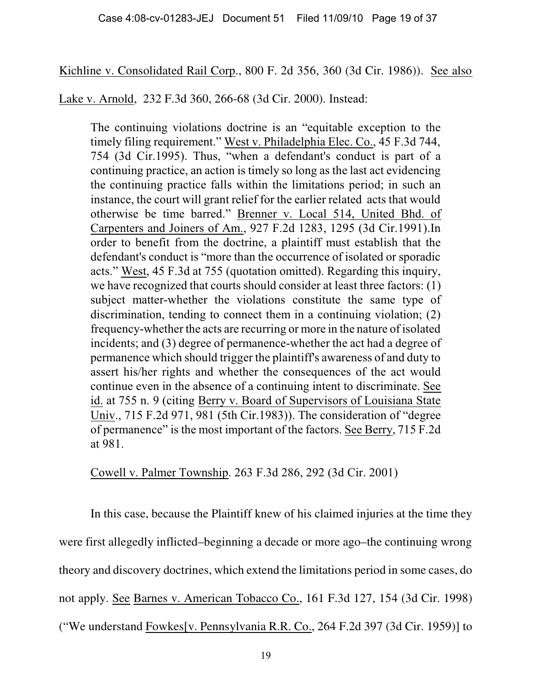Kichline v. Consolidated Rail Corp., 800 F. 2d 356, 360 (3d Cir. 1986)). See also

Lake v. Arnold, 232 F.3d 360, 266-68 (3d Cir. 2000). Instead:

The continuing violations doctrine is an "equitable exception to the timely filing requirement." West v. Philadelphia Elec. Co., 45 F.3d 744, 754 (3d Cir.1995). Thus, "when a defendant's conduct is part of a continuing practice, an action is timely so long as the last act evidencing the continuing practice falls within the limitations period; in such an instance, the court will grant relief for the earlier related acts that would otherwise be time barred." Brenner v. Local 514, United Bhd. of Carpenters and Joiners of Am., 927 F.2d 1283, 1295 (3d Cir.1991).In order to benefit from the doctrine, a plaintiff must establish that the defendant's conduct is "more than the occurrence of isolated or sporadic acts." West, 45 F.3d at 755 (quotation omitted). Regarding this inquiry, we have recognized that courts should consider at least three factors: (1) subject matter-whether the violations constitute the same type of discrimination, tending to connect them in a continuing violation; (2) frequency-whether the acts are recurring or more in the nature of isolated incidents; and (3) degree of permanence-whether the act had a degree of permanence which should trigger the plaintiff's awareness of and duty to assert his/her rights and whether the consequences of the act would continue even in the absence of a continuing intent to discriminate. See id. at 755 n. 9 (citing Berry v. Board of Supervisors of Louisiana State Univ., 715 F.2d 971, 981 (5th Cir.1983)). The consideration of "degree of permanence" is the most important of the factors. See Berry, 715 F.2d at 981.

Cowell v. Palmer Township. 263 F.3d 286, 292 (3d Cir. 2001)

In this case, because the Plaintiff knew of his claimed injuries at the time they were first allegedly inflicted–beginning a decade or more ago–the continuing wrong theory and discovery doctrines, which extend the limitations period in some cases, do not apply. See Barnes v. American Tobacco Co., 161 F.3d 127, 154 (3d Cir. 1998) ("We understand Fowkes[v. Pennsylvania R.R. Co., 264 F.2d 397 (3d Cir. 1959)] to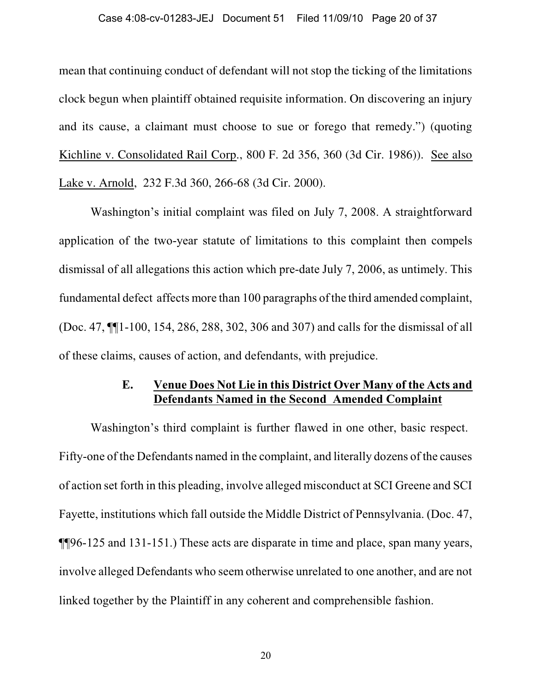mean that continuing conduct of defendant will not stop the ticking of the limitations clock begun when plaintiff obtained requisite information. On discovering an injury and its cause, a claimant must choose to sue or forego that remedy.") (quoting Kichline v. Consolidated Rail Corp., 800 F. 2d 356, 360 (3d Cir. 1986)). See also Lake v. Arnold, 232 F.3d 360, 266-68 (3d Cir. 2000).

Washington's initial complaint was filed on July 7, 2008. A straightforward application of the two-year statute of limitations to this complaint then compels dismissal of all allegations this action which pre-date July 7, 2006, as untimely. This fundamental defect affects more than 100 paragraphs of the third amended complaint, (Doc. 47, ¶¶1-100, 154, 286, 288, 302, 306 and 307) and calls for the dismissal of all of these claims, causes of action, and defendants, with prejudice.

## **E. Venue Does Not Lie in this District Over Many of the Acts and Defendants Named in the Second Amended Complaint**

Washington's third complaint is further flawed in one other, basic respect. Fifty-one of the Defendants named in the complaint, and literally dozens of the causes of action set forth in this pleading, involve alleged misconduct at SCI Greene and SCI Fayette, institutions which fall outside the Middle District of Pennsylvania. (Doc. 47, ¶¶96-125 and 131-151.) These acts are disparate in time and place, span many years, involve alleged Defendants who seem otherwise unrelated to one another, and are not linked together by the Plaintiff in any coherent and comprehensible fashion.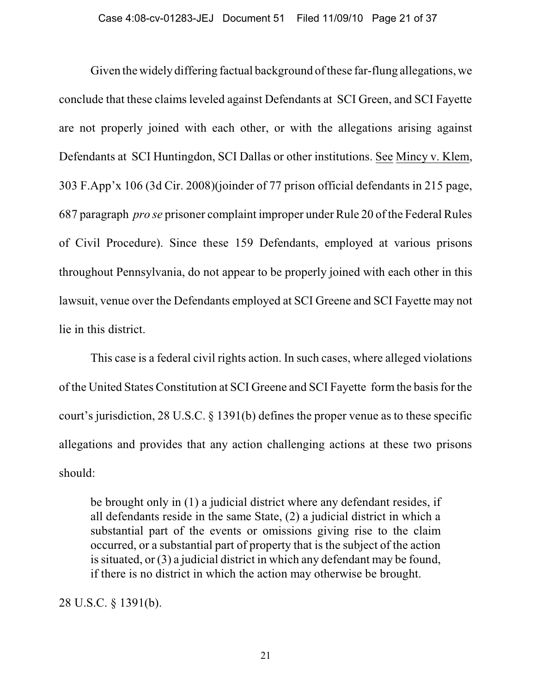Given the widely differing factual background of these far-flung allegations, we conclude that these claims leveled against Defendants at SCI Green, and SCI Fayette are not properly joined with each other, or with the allegations arising against Defendants at SCI Huntingdon, SCI Dallas or other institutions. See Mincy v. Klem, 303 F.App'x 106 (3d Cir. 2008)(joinder of 77 prison official defendants in 215 page, 687 paragraph *pro se* prisoner complaint improper under Rule 20 of the Federal Rules of Civil Procedure). Since these 159 Defendants, employed at various prisons throughout Pennsylvania, do not appear to be properly joined with each other in this lawsuit, venue over the Defendants employed at SCI Greene and SCI Fayette may not lie in this district.

This case is a federal civil rights action. In such cases, where alleged violations of the United States Constitution at SCI Greene and SCI Fayette form the basis for the court's jurisdiction, 28 U.S.C. § 1391(b) defines the proper venue as to these specific allegations and provides that any action challenging actions at these two prisons should:

be brought only in (1) a judicial district where any defendant resides, if all defendants reside in the same State, (2) a judicial district in which a substantial part of the events or omissions giving rise to the claim occurred, or a substantial part of property that is the subject of the action is situated, or (3) a judicial district in which any defendant may be found, if there is no district in which the action may otherwise be brought.

28 U.S.C. § 1391(b).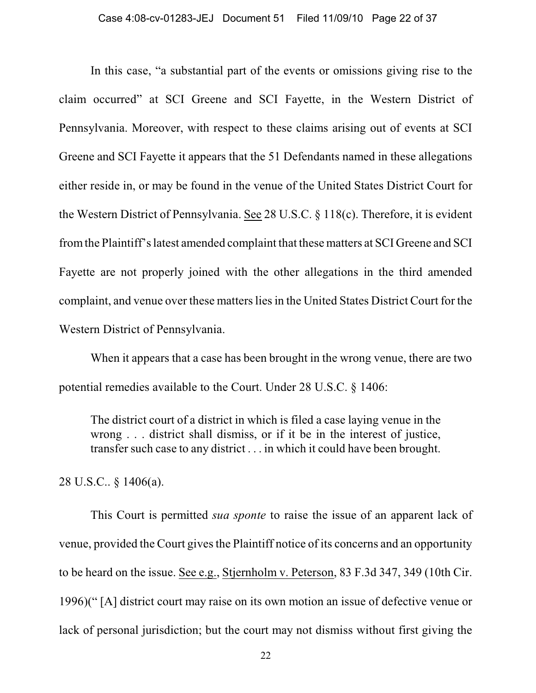In this case, "a substantial part of the events or omissions giving rise to the claim occurred" at SCI Greene and SCI Fayette, in the Western District of Pennsylvania. Moreover, with respect to these claims arising out of events at SCI Greene and SCI Fayette it appears that the 51 Defendants named in these allegations either reside in, or may be found in the venue of the United States District Court for the Western District of Pennsylvania. See 28 U.S.C. § 118(c). Therefore, it is evident from the Plaintiff's latest amended complaint that these matters at SCI Greene and SCI Fayette are not properly joined with the other allegations in the third amended complaint, and venue over these matters lies in the United States District Court for the Western District of Pennsylvania.

When it appears that a case has been brought in the wrong venue, there are two potential remedies available to the Court. Under 28 U.S.C. § 1406:

The district court of a district in which is filed a case laying venue in the wrong . . . district shall dismiss, or if it be in the interest of justice, transfer such case to any district . . . in which it could have been brought.

28 U.S.C.. § 1406(a).

This Court is permitted *sua sponte* to raise the issue of an apparent lack of venue, provided the Court gives the Plaintiff notice of its concerns and an opportunity to be heard on the issue. See e.g., Stjernholm v. Peterson, 83 F.3d 347, 349 (10th Cir. 1996)(" [A] district court may raise on its own motion an issue of defective venue or lack of personal jurisdiction; but the court may not dismiss without first giving the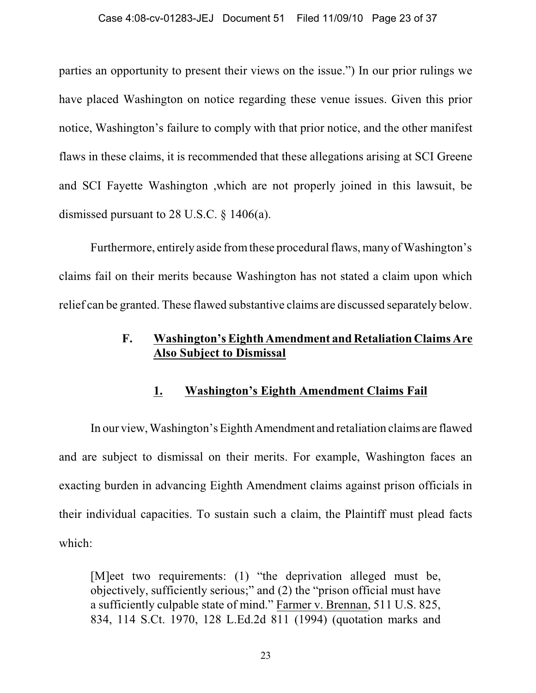parties an opportunity to present their views on the issue.") In our prior rulings we have placed Washington on notice regarding these venue issues. Given this prior notice, Washington's failure to comply with that prior notice, and the other manifest flaws in these claims, it is recommended that these allegations arising at SCI Greene and SCI Fayette Washington ,which are not properly joined in this lawsuit, be dismissed pursuant to 28 U.S.C. § 1406(a).

Furthermore, entirely aside from these procedural flaws, many of Washington's claims fail on their merits because Washington has not stated a claim upon which relief can be granted. These flawed substantive claims are discussed separately below.

## **F. Washington's Eighth Amendment and Retaliation Claims Are Also Subject to Dismissal**

### **1. Washington's Eighth Amendment Claims Fail**

In our view, Washington's Eighth Amendment and retaliation claims are flawed and are subject to dismissal on their merits. For example, Washington faces an exacting burden in advancing Eighth Amendment claims against prison officials in their individual capacities. To sustain such a claim, the Plaintiff must plead facts which:

[M]eet two requirements: (1) "the deprivation alleged must be, objectively, sufficiently serious;" and (2) the "prison official must have a sufficiently culpable state of mind." Farmer v. Brennan, 511 U.S. 825, 834, 114 S.Ct. 1970, 128 L.Ed.2d 811 (1994) (quotation marks and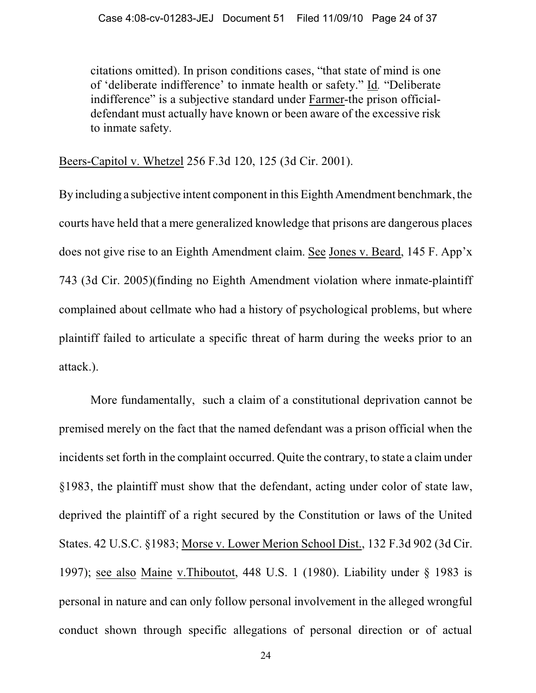citations omitted). In prison conditions cases, "that state of mind is one of 'deliberate indifference' to inmate health or safety." Id*.* "Deliberate indifference" is a subjective standard under Farmer-the prison officialdefendant must actually have known or been aware of the excessive risk to inmate safety.

Beers-Capitol v. Whetzel 256 F.3d 120, 125 (3d Cir. 2001).

By including a subjective intent component in this Eighth Amendment benchmark, the courts have held that a mere generalized knowledge that prisons are dangerous places does not give rise to an Eighth Amendment claim. See Jones v. Beard, 145 F. App'x 743 (3d Cir. 2005)(finding no Eighth Amendment violation where inmate-plaintiff complained about cellmate who had a history of psychological problems, but where plaintiff failed to articulate a specific threat of harm during the weeks prior to an attack.).

More fundamentally, such a claim of a constitutional deprivation cannot be premised merely on the fact that the named defendant was a prison official when the incidents set forth in the complaint occurred. Quite the contrary, to state a claim under §1983, the plaintiff must show that the defendant, acting under color of state law, deprived the plaintiff of a right secured by the Constitution or laws of the United States. 42 U.S.C. §1983; Morse v. Lower Merion School Dist., 132 F.3d 902 (3d Cir. 1997); see also Maine v.Thiboutot, 448 U.S. 1 (1980). Liability under § 1983 is personal in nature and can only follow personal involvement in the alleged wrongful conduct shown through specific allegations of personal direction or of actual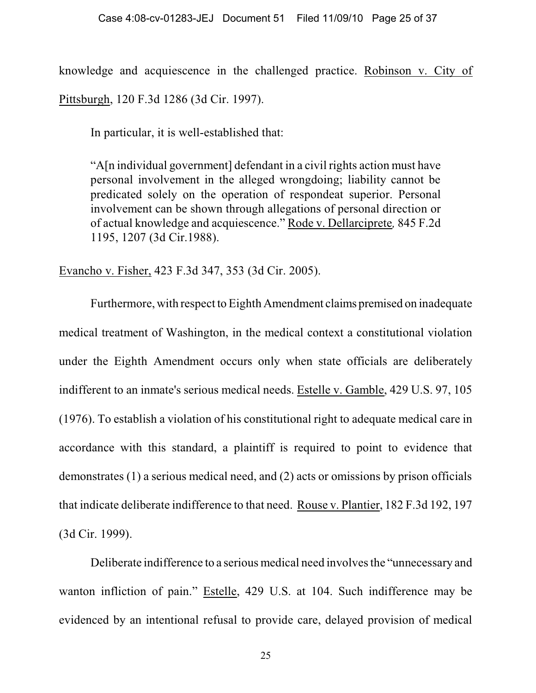knowledge and acquiescence in the challenged practice. Robinson v. City of Pittsburgh, 120 F.3d 1286 (3d Cir. 1997).

In particular, it is well-established that:

"A[n individual government] defendant in a civil rights action must have personal involvement in the alleged wrongdoing; liability cannot be predicated solely on the operation of respondeat superior. Personal involvement can be shown through allegations of personal direction or of actual knowledge and acquiescence." Rode v. Dellarciprete*,* 845 F.2d 1195, 1207 (3d Cir.1988).

Evancho v. Fisher, 423 F.3d 347, 353 (3d Cir. 2005).

Furthermore, with respect to Eighth Amendment claims premised on inadequate medical treatment of Washington, in the medical context a constitutional violation under the Eighth Amendment occurs only when state officials are deliberately indifferent to an inmate's serious medical needs. Estelle v. Gamble, 429 U.S. 97, 105 (1976). To establish a violation of his constitutional right to adequate medical care in accordance with this standard, a plaintiff is required to point to evidence that demonstrates (1) a serious medical need, and (2) acts or omissions by prison officials that indicate deliberate indifference to that need. Rouse v. Plantier, 182 F.3d 192, 197 (3d Cir. 1999).

Deliberate indifference to a serious medical need involves the "unnecessary and wanton infliction of pain." Estelle, 429 U.S. at 104. Such indifference may be evidenced by an intentional refusal to provide care, delayed provision of medical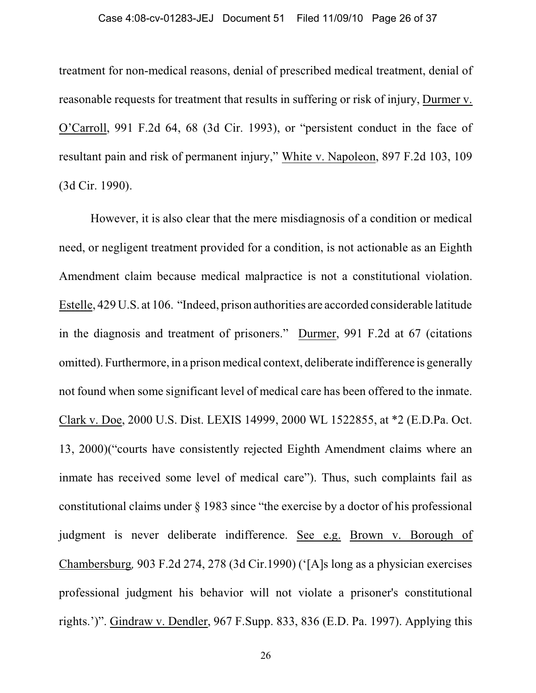treatment for non-medical reasons, denial of prescribed medical treatment, denial of reasonable requests for treatment that results in suffering or risk of injury, Durmer v. O'Carroll, 991 F.2d 64, 68 (3d Cir. 1993), or "persistent conduct in the face of resultant pain and risk of permanent injury," White v. Napoleon, 897 F.2d 103, 109 (3d Cir. 1990).

However, it is also clear that the mere misdiagnosis of a condition or medical need, or negligent treatment provided for a condition, is not actionable as an Eighth Amendment claim because medical malpractice is not a constitutional violation. Estelle, 429 U.S. at 106. "Indeed, prison authorities are accorded considerable latitude in the diagnosis and treatment of prisoners." Durmer, 991 F.2d at 67 (citations omitted). Furthermore, in a prison medical context, deliberate indifference is generally not found when some significant level of medical care has been offered to the inmate. Clark v. Doe, 2000 U.S. Dist. LEXIS 14999, 2000 WL 1522855, at \*2 (E.D.Pa. Oct. 13, 2000)("courts have consistently rejected Eighth Amendment claims where an inmate has received some level of medical care"). Thus, such complaints fail as constitutional claims under § 1983 since "the exercise by a doctor of his professional judgment is never deliberate indifference. See e.g. Brown v. Borough of Chambersburg*,* 903 F.2d 274, 278 (3d Cir.1990) ('[A]s long as a physician exercises professional judgment his behavior will not violate a prisoner's constitutional rights.')". Gindraw v. Dendler, 967 F.Supp. 833, 836 (E.D. Pa. 1997). Applying this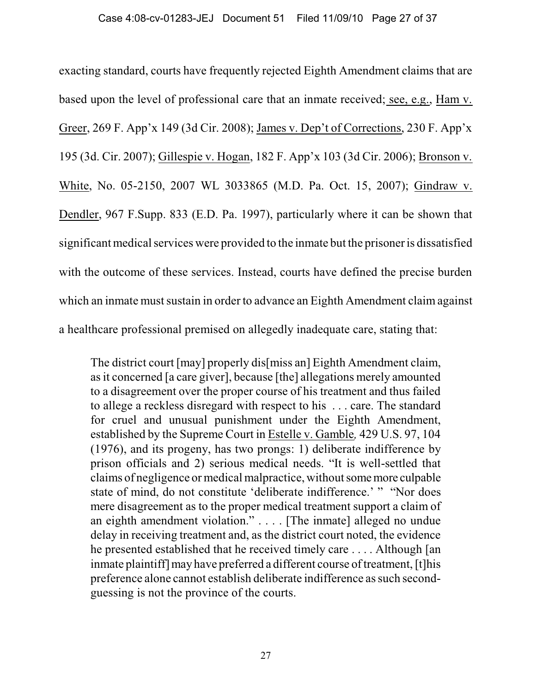exacting standard, courts have frequently rejected Eighth Amendment claims that are based upon the level of professional care that an inmate received; see, e.g., Ham v. Greer, 269 F. App'x 149 (3d Cir. 2008); James v. Dep't of Corrections, 230 F. App'x 195 (3d. Cir. 2007); Gillespie v. Hogan, 182 F. App'x 103 (3d Cir. 2006); Bronson v. White, No. 05-2150, 2007 WL 3033865 (M.D. Pa. Oct. 15, 2007); Gindraw v. Dendler, 967 F.Supp. 833 (E.D. Pa. 1997), particularly where it can be shown that significant medical services were provided to the inmate but the prisoner is dissatisfied with the outcome of these services. Instead, courts have defined the precise burden which an inmate must sustain in order to advance an Eighth Amendment claim against a healthcare professional premised on allegedly inadequate care, stating that:

The district court [may] properly dis[miss an] Eighth Amendment claim, as it concerned [a care giver], because [the] allegations merely amounted to a disagreement over the proper course of his treatment and thus failed to allege a reckless disregard with respect to his . . . care. The standard for cruel and unusual punishment under the Eighth Amendment, established by the Supreme Court in Estelle v. Gamble*,* 429 U.S. 97, 104 (1976), and its progeny, has two prongs: 1) deliberate indifference by prison officials and 2) serious medical needs. "It is well-settled that claims of negligence or medical malpractice, without some more culpable state of mind, do not constitute 'deliberate indifference.' " "Nor does mere disagreement as to the proper medical treatment support a claim of an eighth amendment violation." . . . . [The inmate] alleged no undue delay in receiving treatment and, as the district court noted, the evidence he presented established that he received timely care . . . . Although [an inmate plaintiff] may have preferred a different course of treatment, [t]his preference alone cannot establish deliberate indifference as such secondguessing is not the province of the courts.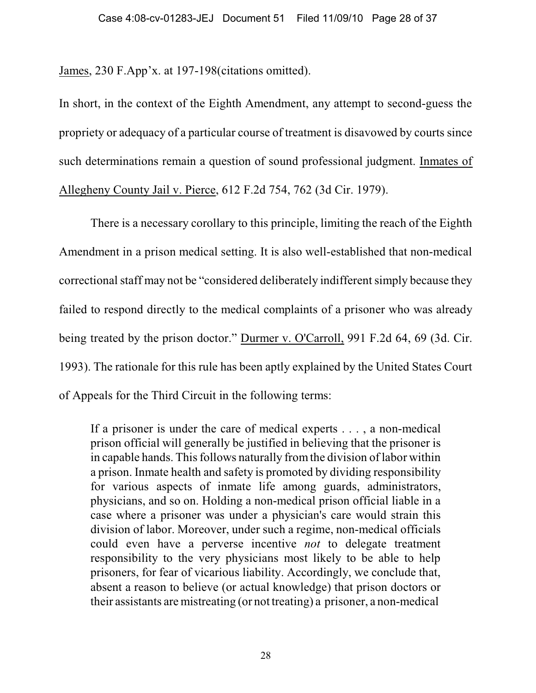James, 230 F.App'x. at 197-198(citations omitted).

In short, in the context of the Eighth Amendment, any attempt to second-guess the propriety or adequacy of a particular course of treatment is disavowed by courts since such determinations remain a question of sound professional judgment. Inmates of Allegheny County Jail v. Pierce, 612 F.2d 754, 762 (3d Cir. 1979).

There is a necessary corollary to this principle, limiting the reach of the Eighth Amendment in a prison medical setting. It is also well-established that non-medical correctional staff may not be "considered deliberately indifferent simply because they failed to respond directly to the medical complaints of a prisoner who was already being treated by the prison doctor." Durmer v. O'Carroll, 991 F.2d 64, 69 (3d. Cir. 1993). The rationale for this rule has been aptly explained by the United States Court of Appeals for the Third Circuit in the following terms:

If a prisoner is under the care of medical experts . . . , a non-medical prison official will generally be justified in believing that the prisoner is in capable hands. This follows naturally from the division of labor within a prison. Inmate health and safety is promoted by dividing responsibility for various aspects of inmate life among guards, administrators, physicians, and so on. Holding a non-medical prison official liable in a case where a prisoner was under a physician's care would strain this division of labor. Moreover, under such a regime, non-medical officials could even have a perverse incentive *not* to delegate treatment responsibility to the very physicians most likely to be able to help prisoners, for fear of vicarious liability. Accordingly, we conclude that, absent a reason to believe (or actual knowledge) that prison doctors or their assistants are mistreating (or not treating) a prisoner, a non-medical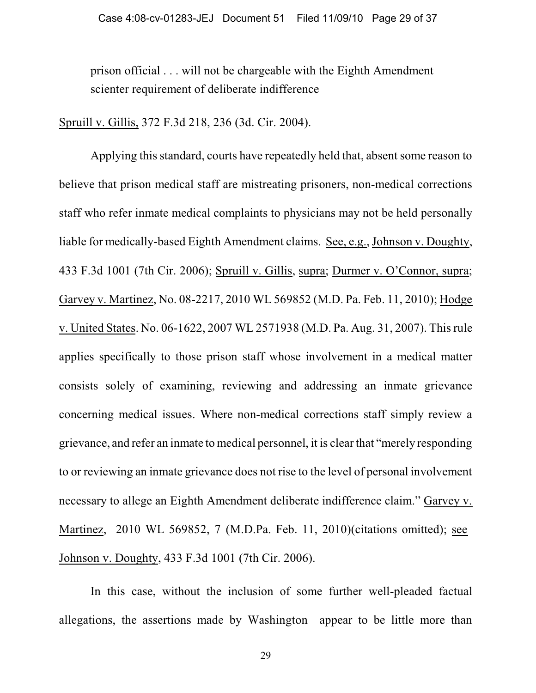prison official . . . will not be chargeable with the Eighth Amendment scienter requirement of deliberate indifference

Spruill v. Gillis, 372 F.3d 218, 236 (3d. Cir. 2004).

Applying this standard, courts have repeatedly held that, absent some reason to believe that prison medical staff are mistreating prisoners, non-medical corrections staff who refer inmate medical complaints to physicians may not be held personally liable for medically-based Eighth Amendment claims. See, e.g., Johnson v. Doughty, 433 F.3d 1001 (7th Cir. 2006); Spruill v. Gillis, supra; Durmer v. O'Connor, supra; Garvey v. Martinez, No. 08-2217, 2010 WL 569852 (M.D. Pa. Feb. 11, 2010); Hodge v. United States. No. 06-1622, 2007 WL 2571938 (M.D. Pa. Aug. 31, 2007). This rule applies specifically to those prison staff whose involvement in a medical matter consists solely of examining, reviewing and addressing an inmate grievance concerning medical issues. Where non-medical corrections staff simply review a grievance, and refer an inmate to medical personnel, it is clear that "merely responding to or reviewing an inmate grievance does not rise to the level of personal involvement necessary to allege an Eighth Amendment deliberate indifference claim." Garvey v. Martinez, 2010 WL 569852, 7 (M.D.Pa. Feb. 11, 2010)(citations omitted); see Johnson v. Doughty, 433 F.3d 1001 (7th Cir. 2006).

In this case, without the inclusion of some further well-pleaded factual allegations, the assertions made by Washington appear to be little more than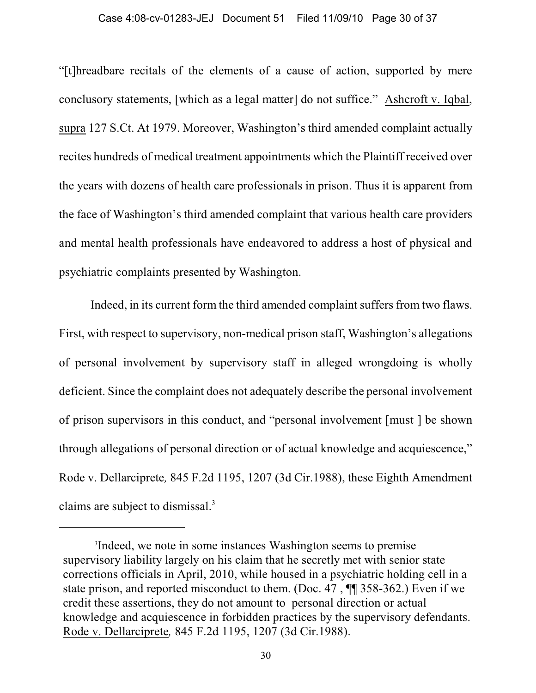#### Case 4:08-cv-01283-JEJ Document 51 Filed 11/09/10 Page 30 of 37

"[t]hreadbare recitals of the elements of a cause of action, supported by mere conclusory statements, [which as a legal matter] do not suffice." Ashcroft v. Iqbal, supra 127 S.Ct. At 1979. Moreover, Washington's third amended complaint actually recites hundreds of medical treatment appointments which the Plaintiff received over the years with dozens of health care professionals in prison. Thus it is apparent from the face of Washington's third amended complaint that various health care providers and mental health professionals have endeavored to address a host of physical and psychiatric complaints presented by Washington.

Indeed, in its current form the third amended complaint suffers from two flaws. First, with respect to supervisory, non-medical prison staff, Washington's allegations of personal involvement by supervisory staff in alleged wrongdoing is wholly deficient. Since the complaint does not adequately describe the personal involvement of prison supervisors in this conduct, and "personal involvement [must ] be shown through allegations of personal direction or of actual knowledge and acquiescence," Rode v. Dellarciprete*,* 845 F.2d 1195, 1207 (3d Cir.1988), these Eighth Amendment claims are subject to dismissal.<sup>3</sup>

<sup>&</sup>lt;sup>3</sup>Indeed, we note in some instances Washington seems to premise supervisory liability largely on his claim that he secretly met with senior state corrections officials in April, 2010, while housed in a psychiatric holding cell in a state prison, and reported misconduct to them. (Doc. 47 , ¶¶ 358-362.) Even if we credit these assertions, they do not amount to personal direction or actual knowledge and acquiescence in forbidden practices by the supervisory defendants. Rode v. Dellarciprete*,* 845 F.2d 1195, 1207 (3d Cir.1988).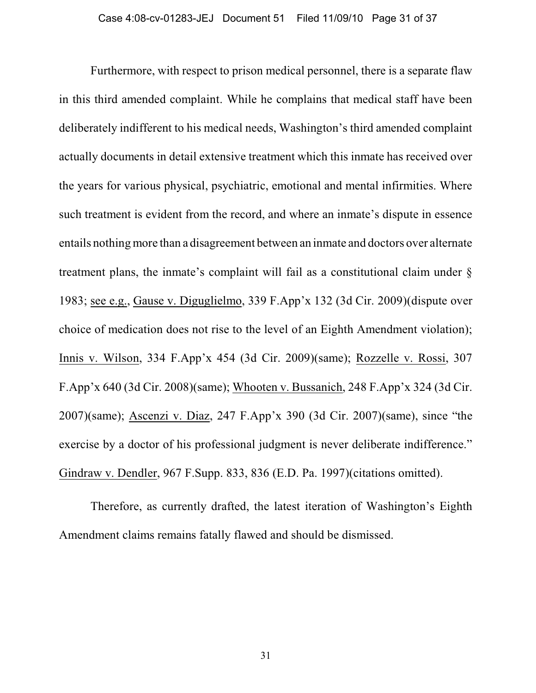Furthermore, with respect to prison medical personnel, there is a separate flaw in this third amended complaint. While he complains that medical staff have been deliberately indifferent to his medical needs, Washington's third amended complaint actually documents in detail extensive treatment which this inmate has received over the years for various physical, psychiatric, emotional and mental infirmities. Where such treatment is evident from the record, and where an inmate's dispute in essence entails nothing more than a disagreement between an inmate and doctors over alternate treatment plans, the inmate's complaint will fail as a constitutional claim under § 1983; see e.g., Gause v. Diguglielmo, 339 F.App'x 132 (3d Cir. 2009)(dispute over choice of medication does not rise to the level of an Eighth Amendment violation); Innis v. Wilson, 334 F.App'x 454 (3d Cir. 2009)(same); Rozzelle v. Rossi, 307 F.App'x 640 (3d Cir. 2008)(same); Whooten v. Bussanich, 248 F.App'x 324 (3d Cir. 2007)(same); Ascenzi v. Diaz, 247 F.App'x 390 (3d Cir. 2007)(same), since "the exercise by a doctor of his professional judgment is never deliberate indifference." Gindraw v. Dendler, 967 F.Supp. 833, 836 (E.D. Pa. 1997)(citations omitted).

Therefore, as currently drafted, the latest iteration of Washington's Eighth Amendment claims remains fatally flawed and should be dismissed.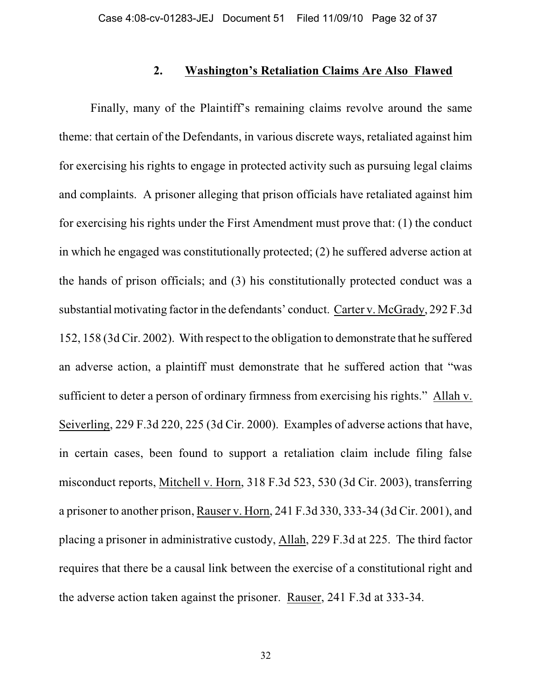### **2. Washington's Retaliation Claims Are Also Flawed**

Finally, many of the Plaintiff's remaining claims revolve around the same theme: that certain of the Defendants, in various discrete ways, retaliated against him for exercising his rights to engage in protected activity such as pursuing legal claims and complaints. A prisoner alleging that prison officials have retaliated against him for exercising his rights under the First Amendment must prove that: (1) the conduct in which he engaged was constitutionally protected; (2) he suffered adverse action at the hands of prison officials; and (3) his constitutionally protected conduct was a substantial motivating factor in the defendants' conduct. Carter v. McGrady, 292 F.3d 152, 158 (3d Cir. 2002). With respect to the obligation to demonstrate that he suffered an adverse action, a plaintiff must demonstrate that he suffered action that "was sufficient to deter a person of ordinary firmness from exercising his rights." Allah v. Seiverling, 229 F.3d 220, 225 (3d Cir. 2000). Examples of adverse actions that have, in certain cases, been found to support a retaliation claim include filing false misconduct reports, Mitchell v. Horn, 318 F.3d 523, 530 (3d Cir. 2003), transferring a prisoner to another prison, Rauser v. Horn, 241 F.3d 330, 333-34 (3d Cir. 2001), and placing a prisoner in administrative custody, Allah, 229 F.3d at 225. The third factor requires that there be a causal link between the exercise of a constitutional right and the adverse action taken against the prisoner. Rauser, 241 F.3d at 333-34.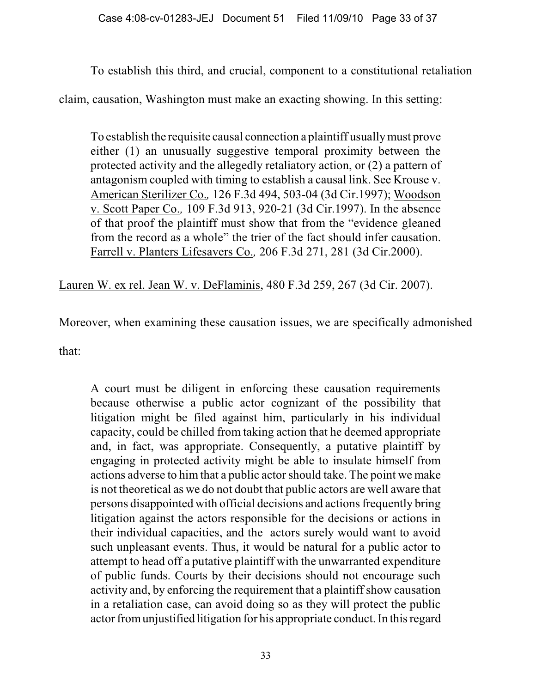To establish this third, and crucial, component to a constitutional retaliation

claim, causation, Washington must make an exacting showing. In this setting:

To establish the requisite causal connection a plaintiff usually must prove either (1) an unusually suggestive temporal proximity between the protected activity and the allegedly retaliatory action, or (2) a pattern of antagonism coupled with timing to establish a causal link. See Krouse v. American Sterilizer Co.*,* 126 F.3d 494, 503-04 (3d Cir.1997); Woodson v. Scott Paper Co.*,* 109 F.3d 913, 920-21 (3d Cir.1997). In the absence of that proof the plaintiff must show that from the "evidence gleaned from the record as a whole" the trier of the fact should infer causation. Farrell v. Planters Lifesavers Co.*,* 206 F.3d 271, 281 (3d Cir.2000).

Lauren W. ex rel. Jean W. v. DeFlaminis, 480 F.3d 259, 267 (3d Cir. 2007).

Moreover, when examining these causation issues, we are specifically admonished

that:

A court must be diligent in enforcing these causation requirements because otherwise a public actor cognizant of the possibility that litigation might be filed against him, particularly in his individual capacity, could be chilled from taking action that he deemed appropriate and, in fact, was appropriate. Consequently, a putative plaintiff by engaging in protected activity might be able to insulate himself from actions adverse to him that a public actor should take. The point we make is not theoretical as we do not doubt that public actors are well aware that persons disappointed with official decisions and actions frequently bring litigation against the actors responsible for the decisions or actions in their individual capacities, and the actors surely would want to avoid such unpleasant events. Thus, it would be natural for a public actor to attempt to head off a putative plaintiff with the unwarranted expenditure of public funds. Courts by their decisions should not encourage such activity and, by enforcing the requirement that a plaintiff show causation in a retaliation case, can avoid doing so as they will protect the public actor from unjustified litigation for his appropriate conduct. In this regard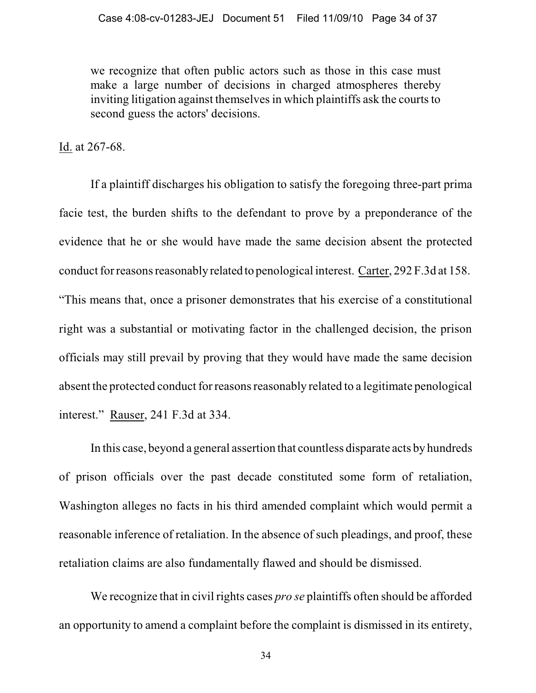we recognize that often public actors such as those in this case must make a large number of decisions in charged atmospheres thereby inviting litigation against themselves in which plaintiffs ask the courts to second guess the actors' decisions.

Id. at 267-68.

If a plaintiff discharges his obligation to satisfy the foregoing three-part prima facie test, the burden shifts to the defendant to prove by a preponderance of the evidence that he or she would have made the same decision absent the protected conduct for reasons reasonably related to penological interest. Carter, 292 F.3d at 158. "This means that, once a prisoner demonstrates that his exercise of a constitutional right was a substantial or motivating factor in the challenged decision, the prison officials may still prevail by proving that they would have made the same decision absent the protected conduct for reasons reasonably related to a legitimate penological interest." Rauser, 241 F.3d at 334.

In this case, beyond a general assertion that countless disparate acts by hundreds of prison officials over the past decade constituted some form of retaliation, Washington alleges no facts in his third amended complaint which would permit a reasonable inference of retaliation. In the absence of such pleadings, and proof, these retaliation claims are also fundamentally flawed and should be dismissed.

We recognize that in civil rights cases *pro se* plaintiffs often should be afforded an opportunity to amend a complaint before the complaint is dismissed in its entirety,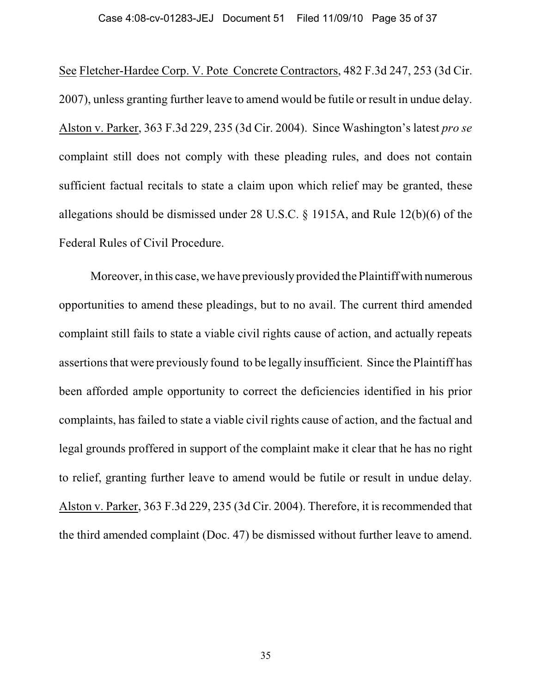See Fletcher-Hardee Corp. V. Pote Concrete Contractors, 482 F.3d 247, 253 (3d Cir. 2007), unless granting further leave to amend would be futile or result in undue delay. Alston v. Parker, 363 F.3d 229, 235 (3d Cir. 2004). Since Washington's latest *pro se* complaint still does not comply with these pleading rules, and does not contain sufficient factual recitals to state a claim upon which relief may be granted, these allegations should be dismissed under 28 U.S.C. § 1915A, and Rule 12(b)(6) of the Federal Rules of Civil Procedure.

Moreover, in this case, we have previously provided the Plaintiff with numerous opportunities to amend these pleadings, but to no avail. The current third amended complaint still fails to state a viable civil rights cause of action, and actually repeats assertions that were previously found to be legally insufficient. Since the Plaintiff has been afforded ample opportunity to correct the deficiencies identified in his prior complaints, has failed to state a viable civil rights cause of action, and the factual and legal grounds proffered in support of the complaint make it clear that he has no right to relief, granting further leave to amend would be futile or result in undue delay. Alston v. Parker, 363 F.3d 229, 235 (3d Cir. 2004). Therefore, it is recommended that the third amended complaint (Doc. 47) be dismissed without further leave to amend.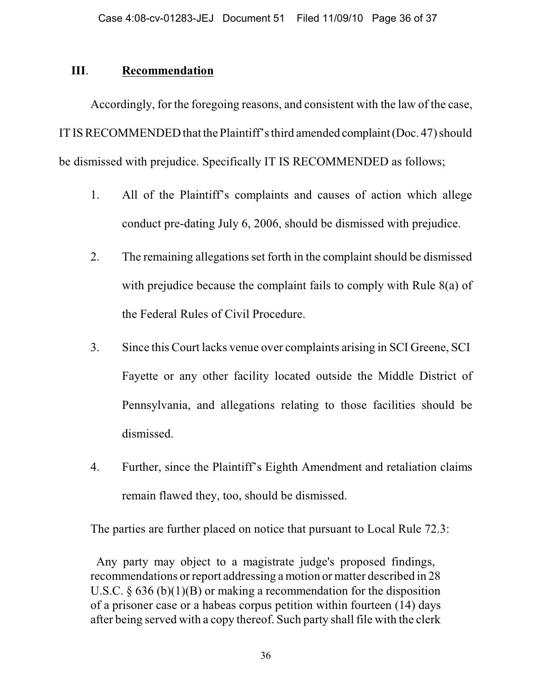### **III**. **Recommendation**

Accordingly, for the foregoing reasons, and consistent with the law of the case, IT IS RECOMMENDED that the Plaintiff's third amended complaint (Doc. 47) should be dismissed with prejudice. Specifically IT IS RECOMMENDED as follows;

- 1. All of the Plaintiff's complaints and causes of action which allege conduct pre-dating July 6, 2006, should be dismissed with prejudice.
- 2. The remaining allegations set forth in the complaint should be dismissed with prejudice because the complaint fails to comply with Rule 8(a) of the Federal Rules of Civil Procedure.
- 3. Since this Court lacks venue over complaints arising in SCI Greene, SCI Fayette or any other facility located outside the Middle District of Pennsylvania, and allegations relating to those facilities should be dismissed.
- 4. Further, since the Plaintiff's Eighth Amendment and retaliation claims remain flawed they, too, should be dismissed.

The parties are further placed on notice that pursuant to Local Rule 72.3:

 Any party may object to a magistrate judge's proposed findings, recommendations or report addressing a motion or matter described in 28 U.S.C.  $\S$  636 (b)(1)(B) or making a recommendation for the disposition of a prisoner case or a habeas corpus petition within fourteen (14) days after being served with a copy thereof. Such party shall file with the clerk